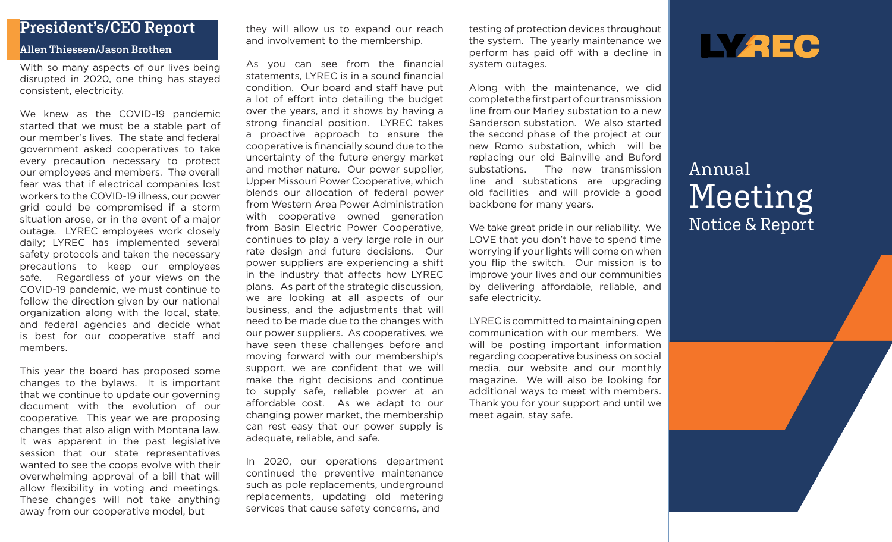### **President's/CEO Report**

### **Allen Thiessen/Jason Brothen**

With so many aspects of our lives being disrupted in 2020, one thing has stayed consistent, electricity.

We knew as the COVID-19 pandemic started that we must be a stable part of our member's lives. The state and federal government asked cooperatives to take every precaution necessary to protect our employees and members. The overall fear was that if electrical companies lost workers to the COVID-19 illness, our power grid could be compromised if a storm situation arose, or in the event of a major outage. LYREC employees work closely daily; LYREC has implemented several safety protocols and taken the necessary precautions to keep our employees safe. Regardless of your views on the COVID-19 pandemic, we must continue to follow the direction given by our national organization along with the local, state, and federal agencies and decide what is best for our cooperative staff and members.

This year the board has proposed some changes to the bylaws. It is important that we continue to update our governing document with the evolution of our cooperative. This year we are proposing changes that also align with Montana law. It was apparent in the past legislative session that our state representatives wanted to see the coops evolve with their overwhelming approval of a bill that will allow flexibility in voting and meetings. These changes will not take anything away from our cooperative model, but

they will allow us to expand our reach and involvement to the membership.

As you can see from the financial statements, LYREC is in a sound financial condition. Our board and staff have put a lot of effort into detailing the budget over the years, and it shows by having a strong financial position. LYREC takes a proactive approach to ensure the cooperative is financially sound due to the uncertainty of the future energy market and mother nature. Our power supplier, Upper Missouri Power Cooperative, which blends our allocation of federal power from Western Area Power Administration with cooperative owned generation from Basin Electric Power Cooperative, continues to play a very large role in our rate design and future decisions. Our power suppliers are experiencing a shift in the industry that affects how LYREC plans. As part of the strategic discussion, we are looking at all aspects of our business, and the adjustments that will need to be made due to the changes with our power suppliers. As cooperatives, we have seen these challenges before and moving forward with our membership's support, we are confident that we will make the right decisions and continue to supply safe, reliable power at an affordable cost. As we adapt to our changing power market, the membership can rest easy that our power supply is adequate, reliable, and safe.

In 2020, our operations department continued the preventive maintenance such as pole replacements, underground replacements, updating old metering services that cause safety concerns, and

testing of protection devices throughout the system. The yearly maintenance we perform has paid off with a decline in system outages.

Along with the maintenance, we did complete the first part of our transmission line from our Marley substation to a new Sanderson substation. We also started the second phase of the project at our new Romo substation, which will be replacing our old Bainville and Buford substations. The new transmission line and substations are upgrading old facilities and will provide a good backbone for many years.

We take great pride in our reliability. We LOVE that you don't have to spend time worrying if your lights will come on when you flip the switch. Our mission is to improve your lives and our communities by delivering affordable, reliable, and safe electricity.

LYREC is committed to maintaining open communication with our members. We will be posting important information regarding cooperative business on social media, our website and our monthly magazine. We will also be looking for additional ways to meet with members. Thank you for your support and until we meet again, stay safe.



# Annual Meeting Notice & Report